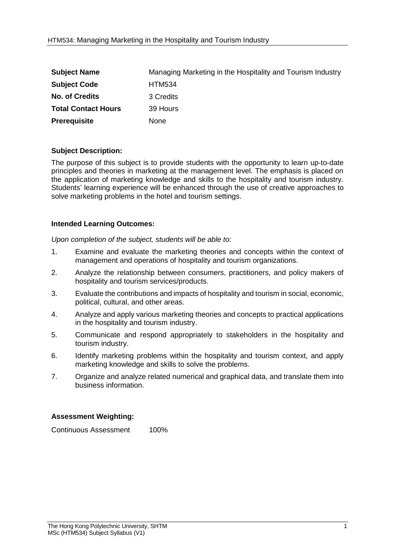| <b>Subject Name</b>        | Managing Marketing in the Hospitality and Tourism Industry |
|----------------------------|------------------------------------------------------------|
| <b>Subject Code</b>        | <b>HTM534</b>                                              |
| <b>No. of Credits</b>      | 3 Credits                                                  |
| <b>Total Contact Hours</b> | 39 Hours                                                   |
| <b>Prerequisite</b>        | <b>None</b>                                                |

## **Subject Description:**

The purpose of this subject is to provide students with the opportunity to learn up-to-date principles and theories in marketing at the management level. The emphasis is placed on the application of marketing knowledge and skills to the hospitality and tourism industry. Students' learning experience will be enhanced through the use of creative approaches to solve marketing problems in the hotel and tourism settings.

## **Intended Learning Outcomes:**

*Upon completion of the subject, students will be able to:*

- 1. Examine and evaluate the marketing theories and concepts within the context of management and operations of hospitality and tourism organizations.
- 2. Analyze the relationship between consumers, practitioners, and policy makers of hospitality and tourism services/products.
- 3. Evaluate the contributions and impacts of hospitality and tourism in social, economic, political, cultural, and other areas.
- 4. Analyze and apply various marketing theories and concepts to practical applications in the hospitality and tourism industry.
- 5. Communicate and respond appropriately to stakeholders in the hospitality and tourism industry.
- 6. Identify marketing problems within the hospitality and tourism context, and apply marketing knowledge and skills to solve the problems.
- 7. Organize and analyze related numerical and graphical data, and translate them into business information.

## **Assessment Weighting:**

Continuous Assessment 100%